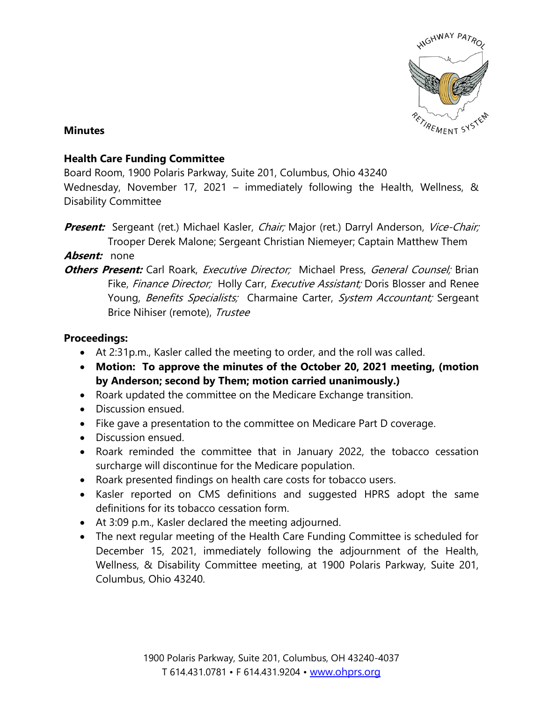

## **Minutes**

## **Health Care Funding Committee**

Board Room, 1900 Polaris Parkway, Suite 201, Columbus, Ohio 43240

Wednesday, November 17, 2021 – immediately following the Health, Wellness, & Disability Committee

**Present:** Sergeant (ret.) Michael Kasler, *Chair;* Major (ret.) Darryl Anderson, Vice-Chair; Trooper Derek Malone; Sergeant Christian Niemeyer; Captain Matthew Them

**Absent:** none

**Others Present:** Carl Roark, *Executive Director;* Michael Press, *General Counsel:* Brian Fike, Finance Director; Holly Carr, Executive Assistant; Doris Blosser and Renee Young, Benefits Specialists; Charmaine Carter, System Accountant; Sergeant Brice Nihiser (remote), Trustee

## **Proceedings:**

- At 2:31p.m., Kasler called the meeting to order, and the roll was called.
- **Motion: To approve the minutes of the October 20, 2021 meeting, (motion by Anderson; second by Them; motion carried unanimously.)**
- Roark updated the committee on the Medicare Exchange transition.
- Discussion ensued.
- Fike gave a presentation to the committee on Medicare Part D coverage.
- Discussion ensued.
- Roark reminded the committee that in January 2022, the tobacco cessation surcharge will discontinue for the Medicare population.
- Roark presented findings on health care costs for tobacco users.
- Kasler reported on CMS definitions and suggested HPRS adopt the same definitions for its tobacco cessation form.
- At 3:09 p.m., Kasler declared the meeting adjourned.
- The next regular meeting of the Health Care Funding Committee is scheduled for December 15, 2021, immediately following the adjournment of the Health, Wellness, & Disability Committee meeting, at 1900 Polaris Parkway, Suite 201, Columbus, Ohio 43240.